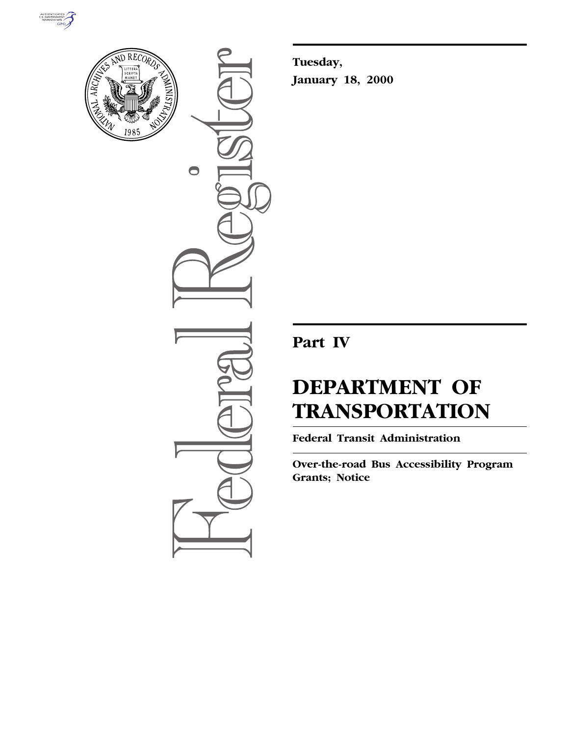



 $\bullet$ 

**Tuesday, January 18, 2000**

## **Part IV**

# **DEPARTMENT OF TRANSPORTATION**

**Federal Transit Administration**

**Over-the-road Bus Accessibility Program Grants; Notice**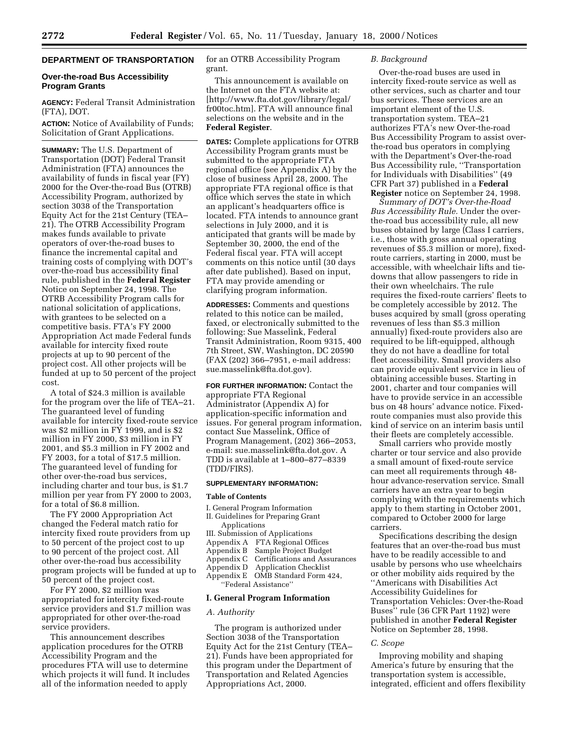### **DEPARTMENT OF TRANSPORTATION**

#### **Over-the-road Bus Accessibility Program Grants**

**AGENCY:** Federal Transit Administration (FTA), DOT.

**ACTION:** Notice of Availability of Funds; Solicitation of Grant Applications.

**SUMMARY:** The U.S. Department of Transportation (DOT) Federal Transit Administration (FTA) announces the availability of funds in fiscal year (FY) 2000 for the Over-the-road Bus (OTRB) Accessibility Program, authorized by section 3038 of the Transportation Equity Act for the 21st Century (TEA– 21). The OTRB Accessibility Program makes funds available to private operators of over-the-road buses to finance the incremental capital and training costs of complying with DOT's over-the-road bus accessibility final rule, published in the **Federal Register** Notice on September 24, 1998. The OTRB Accessibility Program calls for national solicitation of applications, with grantees to be selected on a competitive basis. FTA's FY 2000 Appropriation Act made Federal funds available for intercity fixed route projects at up to 90 percent of the project cost. All other projects will be funded at up to 50 percent of the project cost.

A total of \$24.3 million is available for the program over the life of TEA–21. The guaranteed level of funding available for intercity fixed-route service was \$2 million in FY 1999, and is \$2 million in FY 2000, \$3 million in FY 2001, and \$5.3 million in FY 2002 and FY 2003, for a total of \$17.5 million. The guaranteed level of funding for other over-the-road bus services, including charter and tour bus, is \$1.7 million per year from FY 2000 to 2003, for a total of \$6.8 million.

The FY 2000 Appropriation Act changed the Federal match ratio for intercity fixed route providers from up to 50 percent of the project cost to up to 90 percent of the project cost. All other over-the-road bus accessibility program projects will be funded at up to 50 percent of the project cost.

For FY 2000, \$2 million was appropriated for intercity fixed-route service providers and \$1.7 million was appropriated for other over-the-road service providers.

This announcement describes application procedures for the OTRB Accessibility Program and the procedures FTA will use to determine which projects it will fund. It includes all of the information needed to apply

for an OTRB Accessibility Program grant.

This announcement is available on the Internet on the FTA website at: [http://www.fta.dot.gov/library/legal/ fr00toc.htm]. FTA will announce final selections on the website and in the **Federal Register**.

**DATES:** Complete applications for OTRB Accessibility Program grants must be submitted to the appropriate FTA regional office (see Appendix A) by the close of business April 28, 2000. The appropriate FTA regional office is that office which serves the state in which an applicant's headquarters office is located. FTA intends to announce grant selections in July 2000, and it is anticipated that grants will be made by September 30, 2000, the end of the Federal fiscal year. FTA will accept comments on this notice until (30 days after date published). Based on input, FTA may provide amending or clarifying program information.

**ADDRESSES:** Comments and questions related to this notice can be mailed, faxed, or electronically submitted to the following: Sue Masselink, Federal Transit Administration, Room 9315, 400 7th Street, SW, Washington, DC 20590 (FAX (202) 366–7951, e-mail address: sue.masselink@fta.dot.gov).

**FOR FURTHER INFORMATION:** Contact the appropriate FTA Regional Administrator (Appendix A) for application-specific information and issues. For general program information, contact Sue Masselink, Office of Program Management, (202) 366–2053, e-mail: sue.masselink@fta.dot.gov. A TDD is available at 1–800–877–8339 (TDD/FIRS).

#### **SUPPLEMENTARY INFORMATION:**

#### **Table of Contents**

- I. General Program Information
- II. Guidelines for Preparing Grant Applications
- III. Submission of Applications
- Appendix A FTA Regional Offices
- Appendix B Sample Project Budget
- 
- Appendix C Certifications and Assurances Application Checklist
- Appendix E OMB Standard Form 424, ''Federal Assistance''

#### **I. General Program Information**

#### *A. Authority*

The program is authorized under Section 3038 of the Transportation Equity Act for the 21st Century (TEA– 21). Funds have been appropriated for this program under the Department of Transportation and Related Agencies Appropriations Act, 2000.

#### *B. Background*

Over-the-road buses are used in intercity fixed-route service as well as other services, such as charter and tour bus services. These services are an important element of the U.S. transportation system. TEA–21 authorizes FTA's new Over-the-road Bus Accessibility Program to assist overthe-road bus operators in complying with the Department's Over-the-road Bus Accessibility rule, ''Transportation for Individuals with Disabilities'' (49 CFR Part 37) published in a **Federal Register** notice on September 24, 1998.

*Summary of DOT's Over-the-Road Bus Accessibility Rule.* Under the overthe-road bus accessibility rule, all new buses obtained by large (Class I carriers, i.e., those with gross annual operating revenues of \$5.3 million or more), fixedroute carriers, starting in 2000, must be accessible, with wheelchair lifts and tiedowns that allow passengers to ride in their own wheelchairs. The rule requires the fixed-route carriers' fleets to be completely accessible by 2012. The buses acquired by small (gross operating revenues of less than \$5.3 million annually) fixed-route providers also are required to be lift-equipped, although they do not have a deadline for total fleet accessibility. Small providers also can provide equivalent service in lieu of obtaining accessible buses. Starting in 2001, charter and tour companies will have to provide service in an accessible bus on 48 hours' advance notice. Fixedroute companies must also provide this kind of service on an interim basis until their fleets are completely accessible.

Small carriers who provide mostly charter or tour service and also provide a small amount of fixed-route service can meet all requirements through 48 hour advance-reservation service. Small carriers have an extra year to begin complying with the requirements which apply to them starting in October 2001, compared to October 2000 for large carriers.

Specifications describing the design features that an over-the-road bus must have to be readily accessible to and usable by persons who use wheelchairs or other mobility aids required by the ''Americans with Disabilities Act Accessibility Guidelines for Transportation Vehicles: Over-the-Road Buses'' rule (36 CFR Part 1192) were published in another **Federal Register** Notice on September 28, 1998.

#### *C. Scope*

Improving mobility and shaping America's future by ensuring that the transportation system is accessible, integrated, efficient and offers flexibility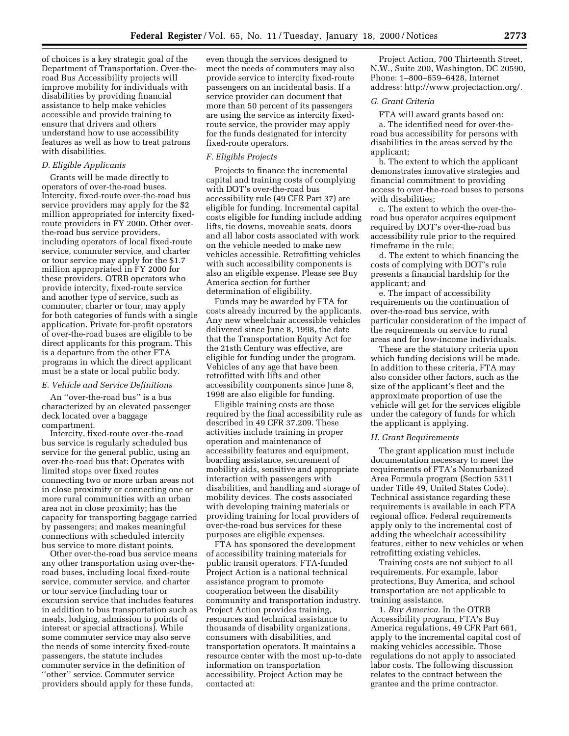of choices is a key strategic goal of the Department of Transportation. Over-theroad Bus Accessibility projects will improve mobility for individuals with disabilities by providing financial assistance to help make vehicles accessible and provide training to ensure that drivers and others understand how to use accessibility features as well as how to treat patrons with disabilities.

#### *D. Eligible Applicants*

Grants will be made directly to operators of over-the-road buses. Intercity, fixed-route over-the-road bus service providers may apply for the \$2 million appropriated for intercity fixedroute providers in FY 2000. Other overthe-road bus service providers, including operators of local fixed-route service, commuter service, and charter or tour service may apply for the \$1.7 million appropriated in FY 2000 for these providers. OTRB operators who provide intercity, fixed-route service and another type of service, such as commuter, charter or tour, may apply for both categories of funds with a single application. Private for-profit operators of over-the-road buses are eligible to be direct applicants for this program. This is a departure from the other FTA programs in which the direct applicant must be a state or local public body.

#### *E. Vehicle and Service Definitions*

An ''over-the-road bus'' is a bus characterized by an elevated passenger deck located over a baggage compartment.

Intercity, fixed-route over-the-road bus service is regularly scheduled bus service for the general public, using an over-the-road bus that: Operates with limited stops over fixed routes connecting two or more urban areas not in close proximity or connecting one or more rural communities with an urban area not in close proximity; has the capacity for transporting baggage carried by passengers; and makes meaningful connections with scheduled intercity bus service to more distant points.

Other over-the-road bus service means any other transportation using over-theroad buses, including local fixed-route service, commuter service, and charter or tour service (including tour or excursion service that includes features in addition to bus transportation such as meals, lodging, admission to points of interest or special attractions). While some commuter service may also serve the needs of some intercity fixed-route passengers, the statute includes commuter service in the definition of ''other'' service. Commuter service providers should apply for these funds,

even though the services designed to meet the needs of commuters may also provide service to intercity fixed-route passengers on an incidental basis. If a service provider can document that more than 50 percent of its passengers are using the service as intercity fixedroute service, the provider may apply for the funds designated for intercity fixed-route operators.

#### *F. Eligible Projects*

Projects to finance the incremental capital and training costs of complying with DOT's over-the-road bus accessibility rule (49 CFR Part 37) are eligible for funding. Incremental capital costs eligible for funding include adding lifts, tie downs, moveable seats, doors and all labor costs associated with work on the vehicle needed to make new vehicles accessible. Retrofitting vehicles with such accessibility components is also an eligible expense. Please see Buy America section for further determination of eligibility.

Funds may be awarded by FTA for costs already incurred by the applicants. Any new wheelchair accessible vehicles delivered since June 8, 1998, the date that the Transportation Equity Act for the 21sth Century was effective, are eligible for funding under the program. Vehicles of any age that have been retrofitted with lifts and other accessibility components since June 8, 1998 are also eligible for funding.

Eligible training costs are those required by the final accessibility rule as described in 49 CFR 37.209. These activities include training in proper operation and maintenance of accessibility features and equipment, boarding assistance, securement of mobility aids, sensitive and appropriate interaction with passengers with disabilities, and handling and storage of mobility devices. The costs associated with developing training materials or providing training for local providers of over-the-road bus services for these purposes are eligible expenses.

FTA has sponsored the development of accessibility training materials for public transit operators. FTA-funded Project Action is a national technical assistance program to promote cooperation between the disability community and transportation industry. Project Action provides training, resources and technical assistance to thousands of disability organizations, consumers with disabilities, and transportation operators. It maintains a resource center with the most up-to-date information on transportation accessibility. Project Action may be contacted at:

Project Action, 700 Thirteenth Street, N.W., Suite 200, Washington, DC 20590, Phone: 1–800–659–6428, Internet address: http://www.projectaction.org/.

#### *G. Grant Criteria*

FTA will award grants based on:

a. The identified need for over-theroad bus accessibility for persons with disabilities in the areas served by the applicant;

b. The extent to which the applicant demonstrates innovative strategies and financial commitment to providing access to over-the-road buses to persons with disabilities;

c. The extent to which the over-theroad bus operator acquires equipment required by DOT's over-the-road bus accessibility rule prior to the required timeframe in the rule;

d. The extent to which financing the costs of complying with DOT's rule presents a financial hardship for the applicant; and

e. The impact of accessibility requirements on the continuation of over-the-road bus service, with particular consideration of the impact of the requirements on service to rural areas and for low-income individuals.

These are the statutory criteria upon which funding decisions will be made. In addition to these criteria, FTA may also consider other factors, such as the size of the applicant's fleet and the approximate proportion of use the vehicle will get for the services eligible under the category of funds for which the applicant is applying.

#### *H. Grant Requirements*

The grant application must include documentation necessary to meet the requirements of FTA's Nonurbanized Area Formula program (Section 5311 under Title 49, United States Code). Technical assistance regarding these requirements is available in each FTA regional office. Federal requirements apply only to the incremental cost of adding the wheelchair accessibility features, either to new vehicles or when retrofitting existing vehicles.

Training costs are not subject to all requirements. For example, labor protections, Buy America, and school transportation are not applicable to training assistance.

1. *Buy America.* In the OTRB Accessibility program, FTA's Buy America regulations, 49 CFR Part 661, apply to the incremental capital cost of making vehicles accessible. Those regulations do not apply to associated labor costs. The following discussion relates to the contract between the grantee and the prime contractor.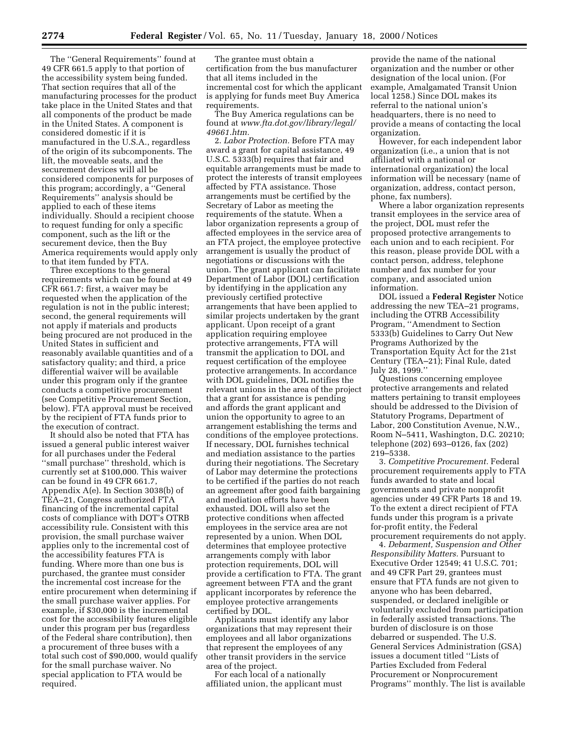The ''General Requirements'' found at 49 CFR 661.5 apply to that portion of the accessibility system being funded. That section requires that all of the manufacturing processes for the product take place in the United States and that all components of the product be made in the United States. A component is considered domestic if it is manufactured in the U.S.A., regardless of the origin of its subcomponents. The lift, the moveable seats, and the securement devices will all be considered components for purposes of this program; accordingly, a ''General Requirements'' analysis should be applied to each of these items individually. Should a recipient choose to request funding for only a specific component, such as the lift or the securement device, then the Buy America requirements would apply only to that item funded by FTA.

Three exceptions to the general requirements which can be found at 49 CFR 661.7: first, a waiver may be requested when the application of the regulation is not in the public interest; second, the general requirements will not apply if materials and products being procured are not produced in the United States in sufficient and reasonably available quantities and of a satisfactory quality; and third, a price differential waiver will be available under this program only if the grantee conducts a competitive procurement (see Competitive Procurement Section, below). FTA approval must be received by the recipient of FTA funds prior to the execution of contract.

It should also be noted that FTA has issued a general public interest waiver for all purchases under the Federal ''small purchase'' threshold, which is currently set at \$100,000. This waiver can be found in 49 CFR 661.7, Appendix A(e). In Section 3038(b) of TEA–21, Congress authorized FTA financing of the incremental capital costs of compliance with DOT's OTRB accessibility rule. Consistent with this provision, the small purchase waiver applies only to the incremental cost of the accessibility features FTA is funding. Where more than one bus is purchased, the grantee must consider the incremental cost increase for the entire procurement when determining if the small purchase waiver applies. For example, if \$30,000 is the incremental cost for the accessibility features eligible under this program per bus (regardless of the Federal share contribution), then a procurement of three buses with a total such cost of \$90,000, would qualify for the small purchase waiver. No special application to FTA would be required.

The grantee must obtain a certification from the bus manufacturer that all items included in the incremental cost for which the applicant is applying for funds meet Buy America requirements.

The Buy America regulations can be found at *www.fta.dot.gov/library/legal/ 49661.htm.*

2. *Labor Protection.* Before FTA may award a grant for capital assistance, 49 U.S.C. 5333(b) requires that fair and equitable arrangements must be made to protect the interests of transit employees affected by FTA assistance. Those arrangements must be certified by the Secretary of Labor as meeting the requirements of the statute. When a labor organization represents a group of affected employees in the service area of an FTA project, the employee protective arrangement is usually the product of negotiations or discussions with the union. The grant applicant can facilitate Department of Labor (DOL) certification by identifying in the application any previously certified protective arrangements that have been applied to similar projects undertaken by the grant applicant. Upon receipt of a grant application requiring employee protective arrangements, FTA will transmit the application to DOL and request certification of the employee protective arrangements. In accordance with DOL guidelines, DOL notifies the relevant unions in the area of the project that a grant for assistance is pending and affords the grant applicant and union the opportunity to agree to an arrangement establishing the terms and conditions of the employee protections. If necessary, DOL furnishes technical and mediation assistance to the parties during their negotiations. The Secretary of Labor may determine the protections to be certified if the parties do not reach an agreement after good faith bargaining and mediation efforts have been exhausted. DOL will also set the protective conditions when affected employees in the service area are not represented by a union. When DOL determines that employee protective arrangements comply with labor protection requirements, DOL will provide a certification to FTA. The grant agreement between FTA and the grant applicant incorporates by reference the employee protective arrangements certified by DOL.

Applicants must identify any labor organizations that may represent their employees and all labor organizations that represent the employees of any other transit providers in the service area of the project.

For each local of a nationally affiliated union, the applicant must

provide the name of the national organization and the number or other designation of the local union. (For example, Amalgamated Transit Union local 1258.) Since DOL makes its referral to the national union's headquarters, there is no need to provide a means of contacting the local organization.

However, for each independent labor organization (i.e., a union that is not affiliated with a national or international organization) the local information will be necessary (name of organization, address, contact person, phone, fax numbers).

Where a labor organization represents transit employees in the service area of the project, DOL must refer the proposed protective arrangements to each union and to each recipient. For this reason, please provide DOL with a contact person, address, telephone number and fax number for your company, and associated union information.

DOL issued a **Federal Register** Notice addressing the new TEA–21 programs, including the OTRB Accessibility Program, ''Amendment to Section 5333(b) Guidelines to Carry Out New Programs Authorized by the Transportation Equity Act for the 21st Century (TEA–21); Final Rule, dated July 28, 1999.''

Questions concerning employee protective arrangements and related matters pertaining to transit employees should be addressed to the Division of Statutory Programs, Department of Labor, 200 Constitution Avenue, N.W., Room N–5411, Washington, D.C. 20210; telephone (202) 693–0126, fax (202) 219–5338.

3. *Competitive Procurement.* Federal procurement requirements apply to FTA funds awarded to state and local governments and private nonprofit agencies under 49 CFR Parts 18 and 19. To the extent a direct recipient of FTA funds under this program is a private for-profit entity, the Federal procurement requirements do not apply.

4. *Debarment, Suspension and Other Responsibility Matters.* Pursuant to Executive Order 12549; 41 U.S.C. 701; and 49 CFR Part 29, grantees must ensure that FTA funds are not given to anyone who has been debarred, suspended, or declared ineligible or voluntarily excluded from participation in federally assisted transactions. The burden of disclosure is on those debarred or suspended. The U.S. General Services Administration (GSA) issues a document titled ''Lists of Parties Excluded from Federal Procurement or Nonprocurement Programs'' monthly. The list is available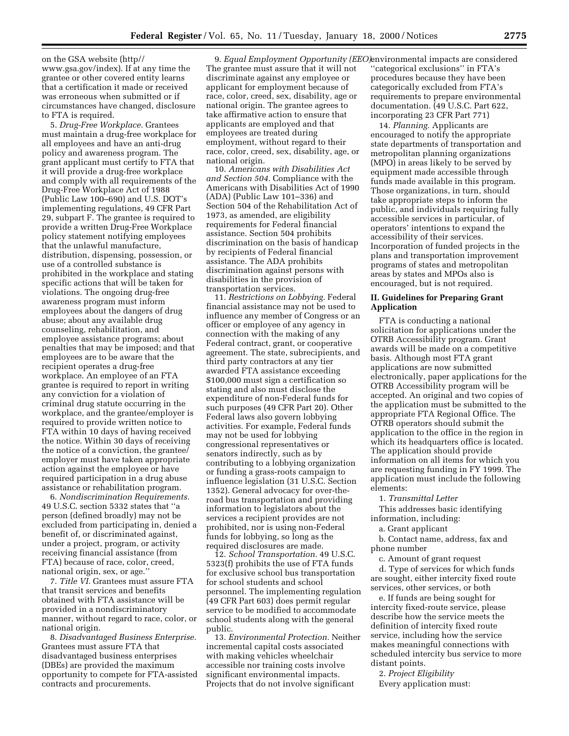on the GSA website (http// www.gsa.gov/index). If at any time the grantee or other covered entity learns that a certification it made or received was erroneous when submitted or if circumstances have changed, disclosure to FTA is required.

5. *Drug-Free Workplace.* Grantees must maintain a drug-free workplace for all employees and have an anti-drug policy and awareness program. The grant applicant must certify to FTA that it will provide a drug-free workplace and comply with all requirements of the Drug-Free Workplace Act of 1988 (Public Law 100–690) and U.S. DOT's implementing regulations, 49 CFR Part 29, subpart F. The grantee is required to provide a written Drug-Free Workplace policy statement notifying employees that the unlawful manufacture, distribution, dispensing, possession, or use of a controlled substance is prohibited in the workplace and stating specific actions that will be taken for violations. The ongoing drug-free awareness program must inform employees about the dangers of drug abuse; about any available drug counseling, rehabilitation, and employee assistance programs; about penalties that may be imposed; and that employees are to be aware that the recipient operates a drug-free workplace. An employee of an FTA grantee is required to report in writing any conviction for a violation of criminal drug statute occurring in the workplace, and the grantee/employer is required to provide written notice to FTA within 10 days of having received the notice. Within 30 days of receiving the notice of a conviction, the grantee/ employer must have taken appropriate action against the employee or have required participation in a drug abuse assistance or rehabilitation program.

6. *Nondiscrimination Requirements.* 49 U.S.C. section 5332 states that ''a person (defined broadly) may not be excluded from participating in, denied a benefit of, or discriminated against, under a project, program, or activity receiving financial assistance (from FTA) because of race, color, creed, national origin, sex, or age.''

7. *Title VI.* Grantees must assure FTA that transit services and benefits obtained with FTA assistance will be provided in a nondiscriminatory manner, without regard to race, color, or national origin.

8. *Disadvantaged Business Enterprise.* Grantees must assure FTA that disadvantaged business enterprises (DBEs) are provided the maximum opportunity to compete for FTA-assisted contracts and procurements.

9. *Equal Employment Opportunity (EEO)* environmental impacts are considered The grantee must assure that it will not discriminate against any employee or applicant for employment because of race, color, creed, sex, disability, age or national origin. The grantee agrees to take affirmative action to ensure that applicants are employed and that employees are treated during employment, without regard to their race, color, creed, sex, disability, age, or national origin.

10. *Americans with Disabilities Act and Section 504.* Compliance with the Americans with Disabilities Act of 1990 (ADA) (Public Law 101–336) and Section 504 of the Rehabilitation Act of 1973, as amended, are eligibility requirements for Federal financial assistance. Section 504 prohibits discrimination on the basis of handicap by recipients of Federal financial assistance. The ADA prohibits discrimination against persons with disabilities in the provision of transportation services.

11. *Restrictions on Lobbying.* Federal financial assistance may not be used to influence any member of Congress or an officer or employee of any agency in connection with the making of any Federal contract, grant, or cooperative agreement. The state, subrecipients, and third party contractors at any tier awarded FTA assistance exceeding \$100,000 must sign a certification so stating and also must disclose the expenditure of non-Federal funds for such purposes (49 CFR Part 20). Other Federal laws also govern lobbying activities. For example, Federal funds may not be used for lobbying congressional representatives or senators indirectly, such as by contributing to a lobbying organization or funding a grass-roots campaign to influence legislation (31 U.S.C. Section 1352). General advocacy for over-theroad bus transportation and providing information to legislators about the services a recipient provides are not prohibited, nor is using non-Federal funds for lobbying, so long as the required disclosures are made.

12. *School Transportation.* 49 U.S.C. 5323(f) prohibits the use of FTA funds for exclusive school bus transportation for school students and school personnel. The implementing regulation (49 CFR Part 603) does permit regular service to be modified to accommodate school students along with the general public.

13. *Environmental Protection.* Neither incremental capital costs associated with making vehicles wheelchair accessible nor training costs involve significant environmental impacts. Projects that do not involve significant

''categorical exclusions'' in FTA's procedures because they have been categorically excluded from FTA's requirements to prepare environmental documentation. (49 U.S.C. Part 622, incorporating 23 CFR Part 771)

14. *Planning.* Applicants are encouraged to notify the appropriate state departments of transportation and metropolitan planning organizations (MPO) in areas likely to be served by equipment made accessible through funds made available in this program. Those organizations, in turn, should take appropriate steps to inform the public, and individuals requiring fully accessible services in particular, of operators' intentions to expand the accessibility of their services. Incorporation of funded projects in the plans and transportation improvement programs of states and metropolitan areas by states and MPOs also is encouraged, but is not required.

#### **II. Guidelines for Preparing Grant Application**

FTA is conducting a national solicitation for applications under the OTRB Accessibility program. Grant awards will be made on a competitive basis. Although most FTA grant applications are now submitted electronically, paper applications for the OTRB Accessibility program will be accepted. An original and two copies of the application must be submitted to the appropriate FTA Regional Office. The OTRB operators should submit the application to the office in the region in which its headquarters office is located. The application should provide information on all items for which you are requesting funding in FY 1999. The application must include the following elements:

1. *Transmittal Letter* 

This addresses basic identifying information, including:

a. Grant applicant

b. Contact name, address, fax and phone number

c. Amount of grant request

d. Type of services for which funds are sought, either intercity fixed route services, other services, or both

e. If funds are being sought for intercity fixed-route service, please describe how the service meets the definition of intercity fixed route service, including how the service makes meaningful connections with scheduled intercity bus service to more distant points.

2. *Project Eligibility*  Every application must: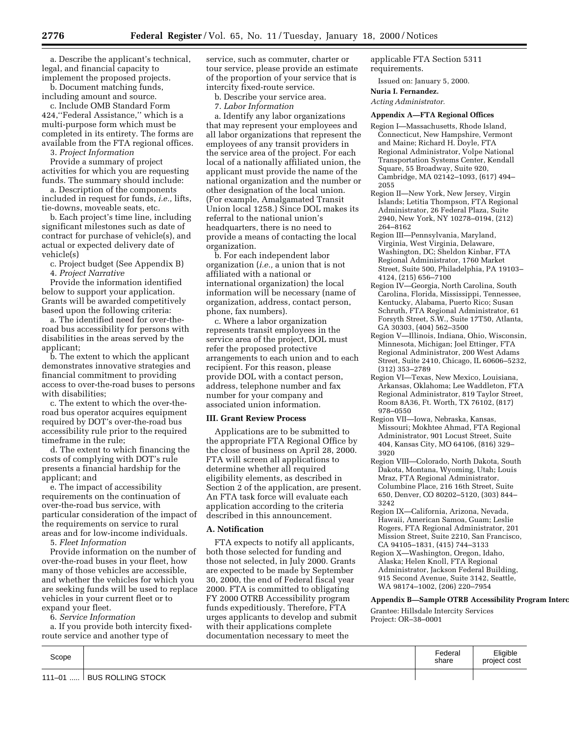a. Describe the applicant's technical, legal, and financial capacity to implement the proposed projects.

b. Document matching funds, including amount and source.

c. Include OMB Standard Form 424,''Federal Assistance,'' which is a multi-purpose form which must be completed in its entirety. The forms are available from the FTA regional offices.

3. *Project Information* 

Provide a summary of project activities for which you are requesting funds. The summary should include:

a. Description of the components included in request for funds, *i.e.,* lifts, tie-downs, moveable seats, etc.

b. Each project's time line, including significant milestones such as date of contract for purchase of vehicle(s), and actual or expected delivery date of vehicle(s)

c. Project budget (See Appendix B) 4. *Project Narrative* 

Provide the information identified below to support your application. Grants will be awarded competitively based upon the following criteria:

a. The identified need for over-theroad bus accessibility for persons with disabilities in the areas served by the applicant;

b. The extent to which the applicant demonstrates innovative strategies and financial commitment to providing access to over-the-road buses to persons with disabilities;

c. The extent to which the over-theroad bus operator acquires equipment required by DOT's over-the-road bus accessibility rule prior to the required timeframe in the rule;

d. The extent to which financing the costs of complying with DOT's rule presents a financial hardship for the applicant; and

e. The impact of accessibility requirements on the continuation of over-the-road bus service, with particular consideration of the impact of the requirements on service to rural areas and for low-income individuals.

5. *Fleet Information* 

Provide information on the number of over-the-road buses in your fleet, how many of those vehicles are accessible, and whether the vehicles for which you are seeking funds will be used to replace vehicles in your current fleet or to expand your fleet.

6. *Service Information*

a. If you provide both intercity fixedroute service and another type of

service, such as commuter, charter or tour service, please provide an estimate of the proportion of your service that is intercity fixed-route service.

b. Describe your service area.

7. *Labor Information* 

a. Identify any labor organizations that may represent your employees and all labor organizations that represent the employees of any transit providers in the service area of the project. For each local of a nationally affiliated union, the applicant must provide the name of the national organization and the number or other designation of the local union. (For example, Amalgamated Transit Union local 1258.) Since DOL makes its referral to the national union's headquarters, there is no need to provide a means of contacting the local organization.

b. For each independent labor organization (*i.e.,* a union that is not affiliated with a national or international organization) the local information will be necessary (name of organization, address, contact person, phone, fax numbers).

c. Where a labor organization represents transit employees in the service area of the project, DOL must refer the proposed protective arrangements to each union and to each recipient. For this reason, please provide DOL with a contact person, address, telephone number and fax number for your company and associated union information.

#### **III. Grant Review Process**

Applications are to be submitted to the appropriate FTA Regional Office by the close of business on April 28, 2000. FTA will screen all applications to determine whether all required eligibility elements, as described in Section 2 of the application, are present. An FTA task force will evaluate each application according to the criteria described in this announcement.

#### **A. Notification**

FTA expects to notify all applicants, both those selected for funding and those not selected, in July 2000. Grants are expected to be made by September 30, 2000, the end of Federal fiscal year 2000. FTA is committed to obligating FY 2000 OTRB Accessibility program funds expeditiously. Therefore, FTA urges applicants to develop and submit with their applications complete documentation necessary to meet the

applicable FTA Section 5311 requirements.

Issued on: January 5, 2000.

**Nuria I. Fernandez.**

*Acting Administrator.*

#### **Appendix A—FTA Regional Offices**

- Region I—Massachusetts, Rhode Island, Connecticut, New Hampshire, Vermont and Maine; Richard H. Doyle, FTA Regional Administrator, Volpe National Transportation Systems Center, Kendall Square, 55 Broadway, Suite 920, Cambridge, MA 02142–1093, (617) 494– 2055
- Region II—New York, New Jersey, Virgin Islands; Letitia Thompson, FTA Regional Administrator, 26 Federal Plaza, Suite 2940, New York, NY 10278–0194, (212) 264–8162
- Region III—Pennsylvania, Maryland, Virginia, West Virginia, Delaware, Washington, DC; Sheldon Kinbar, FTA Regional Administrator, 1760 Market Street, Suite 500, Philadelphia, PA 19103– 4124, (215) 656–7100
- Region IV—Georgia, North Carolina, South Carolina, Florida, Mississippi, Tennessee, Kentucky, Alabama, Puerto Rico; Susan Schruth, FTA Regional Administrator, 61 Forsyth Street, S.W., Suite 17T50, Atlanta, GA 30303, (404) 562–3500
- Region V—Illinois, Indiana, Ohio, Wisconsin, Minnesota, Michigan; Joel Ettinger, FTA Regional Administrator, 200 West Adams Street, Suite 2410, Chicago, IL 60606–5232, (312) 353–2789
- Region VI—Texas, New Mexico, Louisiana, Arkansas, Oklahoma; Lee Waddleton, FTA Regional Administrator, 819 Taylor Street, Room 8A36, Ft. Worth, TX 76102, (817) 978–0550
- Region VII—Iowa, Nebraska, Kansas, Missouri; Mokhtee Ahmad, FTA Regional Administrator, 901 Locust Street, Suite 404, Kansas City, MO 64106, (816) 329– 3920
- Region VIII—Colorado, North Dakota, South Dakota, Montana, Wyoming, Utah; Louis Mraz, FTA Regional Administrator, Columbine Place, 216 16th Street, Suite 650, Denver, CO 80202–5120, (303) 844– 3242
- Region IX—California, Arizona, Nevada, Hawaii, American Samoa, Guam; Leslie Rogers, FTA Regional Administrator, 201 Mission Street, Suite 2210, San Francisco, CA 94105–1831, (415) 744–3133
- Region X—Washington, Oregon, Idaho, Alaska; Helen Knoll, FTA Regional Administrator, Jackson Federal Building, 915 Second Avenue, Suite 3142, Seattle, WA 98174–1002, (206) 220–7954

#### **Appendix B—Sample OTRB Accessibility Program Interc**

Grantee: Hillsdale Intercity Services Project: OR–38–0001

| Scope          |                   | Federal<br>share | Eligible<br>project cost |
|----------------|-------------------|------------------|--------------------------|
| $111 - 01$<br> | BUS ROLLING STOCK |                  |                          |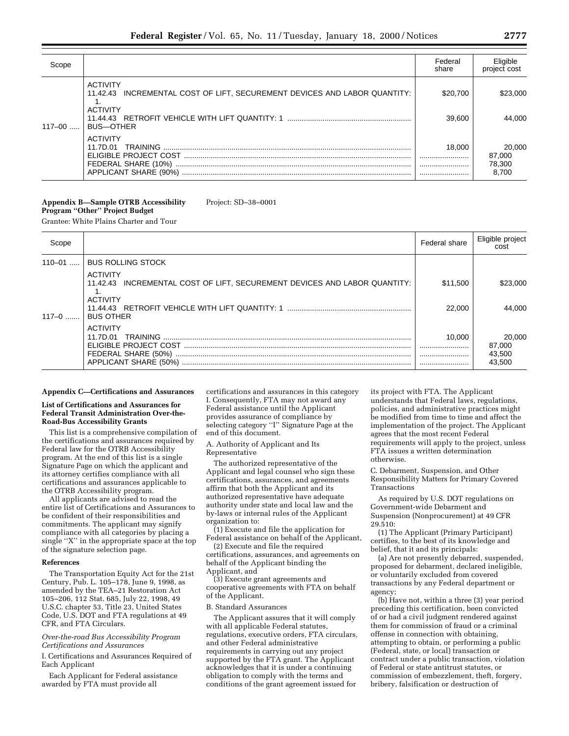| Scope      |                                                                                                                              | Federal<br>share   | Eligible<br>project cost            |
|------------|------------------------------------------------------------------------------------------------------------------------------|--------------------|-------------------------------------|
| $117 - 00$ | <b>ACTIVITY</b><br>11.42.43 INCREMENTAL COST OF LIFT, SECUREMENT DEVICES AND LABOR QUANTITY:<br>ACTIVITY<br><b>BUS-OTHER</b> | \$20,700<br>39.600 | \$23,000<br>44.000                  |
|            | <b>ACTIVITY</b><br>11.7D.01<br>FEDERAL SHARE (10%)                                                                           | 18,000<br><br><br> | 20,000<br>87,000<br>78,300<br>8.700 |

#### **Appendix B—Sample OTRB Accessibility Program ''Other'' Project Budget** Project: SD–38–0001

Grantee: White Plains Charter and Tour

| Scope      |                                                                                                                                        | Federal share      | Eligible project<br>cost             |
|------------|----------------------------------------------------------------------------------------------------------------------------------------|--------------------|--------------------------------------|
| $110 - 01$ | <b>BUS ROLLING STOCK</b>                                                                                                               |                    |                                      |
| $117-0$    | <b>ACTIVITY</b><br>INCREMENTAL COST OF LIFT, SECUREMENT DEVICES AND LABOR QUANTITY:<br>11.42.43<br><b>ACTIVITY</b><br><b>BUS OTHER</b> | \$11,500<br>22,000 | \$23,000<br>44.000                   |
|            | <b>ACTIVITY</b>                                                                                                                        | 10.000             | 20,000<br>87,000<br>43,500<br>43.500 |

#### **Appendix C—Certifications and Assurances**

#### **List of Certifications and Assurances for Federal Transit Administration Over-the-Road-Bus Accessibility Grants**

This list is a comprehensive compilation of the certifications and assurances required by Federal law for the OTRB Accessibility program. At the end of this list is a single Signature Page on which the applicant and its attorney certifies compliance with all certifications and assurances applicable to the OTRB Accessibility program.

All applicants are advised to read the entire list of Certifications and Assurances to be confident of their responsibilities and commitments. The applicant may signify compliance with all categories by placing a single ''X'' in the appropriate space at the top of the signature selection page.

#### **References**

The Transportation Equity Act for the 21st Century, Pub. L. 105–178, June 9, 1998, as amended by the TEA–21 Restoration Act 105–206, 112 Stat. 685, July 22, 1998, 49 U.S.C. chapter 53, Title 23, United States Code, U.S. DOT and FTA regulations at 49 CFR, and FTA Circulars.

*Over-the-road Bus Accessibility Program Certifications and Assurances*

I. Certifications and Assurances Required of Each Applicant

Each Applicant for Federal assistance awarded by FTA must provide all

certifications and assurances in this category I. Consequently, FTA may not award any Federal assistance until the Applicant provides assurance of compliance by selecting category "I" Signature Page at the end of this document.

A. Authority of Applicant and Its Representative

The authorized representative of the Applicant and legal counsel who sign these certifications, assurances, and agreements affirm that both the Applicant and its authorized representative have adequate authority under state and local law and the by-laws or internal rules of the Applicant organization to:

(1) Execute and file the application for Federal assistance on behalf of the Applicant,

(2) Execute and file the required certifications, assurances, and agreements on behalf of the Applicant binding the Applicant, and

(3) Execute grant agreements and cooperative agreements with FTA on behalf of the Applicant.

B. Standard Assurances

The Applicant assures that it will comply with all applicable Federal statutes, regulations, executive orders, FTA circulars, and other Federal administrative requirements in carrying out any project supported by the FTA grant. The Applicant acknowledges that it is under a continuing obligation to comply with the terms and conditions of the grant agreement issued for

its project with FTA. The Applicant understands that Federal laws, regulations, policies, and administrative practices might be modified from time to time and affect the implementation of the project. The Applicant agrees that the most recent Federal requirements will apply to the project, unless FTA issues a written determination otherwise.

C. Debarment, Suspension, and Other Responsibility Matters for Primary Covered Transactions

As required by U.S. DOT regulations on Government-wide Debarment and Suspension (Nonprocurement) at 49 CFR 29.510:

(1) The Applicant (Primary Participant) certifies, to the best of its knowledge and belief, that it and its principals:

(a) Are not presently debarred, suspended, proposed for debarment, declared ineligible, or voluntarily excluded from covered transactions by any Federal department or agency;

(b) Have not, within a three (3) year period preceding this certification, been convicted of or had a civil judgment rendered against them for commission of fraud or a criminal offense in connection with obtaining, attempting to obtain, or performing a public (Federal, state, or local) transaction or contract under a public transaction, violation of Federal or state antitrust statutes, or commission of embezzlement, theft, forgery, bribery, falsification or destruction of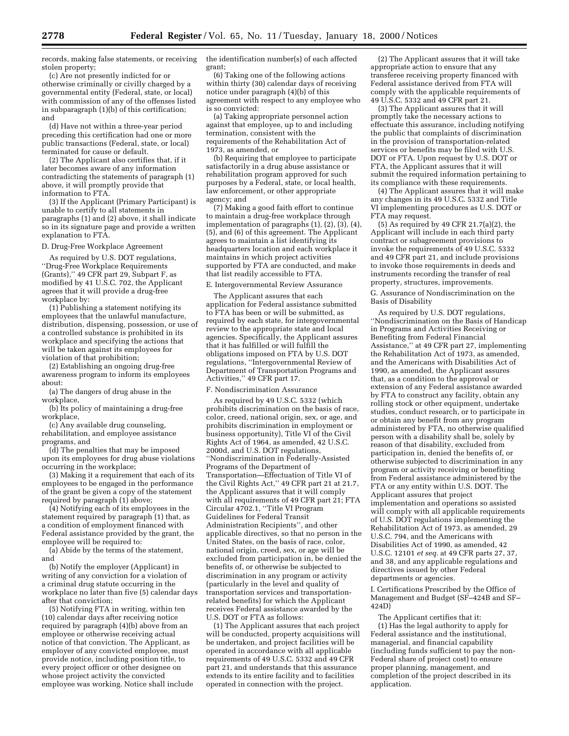records, making false statements, or receiving stolen property;

(c) Are not presently indicted for or otherwise criminally or civilly charged by a governmental entity (Federal, state, or local) with commission of any of the offenses listed in subparagraph (1)(b) of this certification; and

(d) Have not within a three-year period preceding this certification had one or more public transactions (Federal, state, or local) terminated for cause or default.

(2) The Applicant also certifies that, if it later becomes aware of any information contradicting the statements of paragraph (1) above, it will promptly provide that information to FTA.

(3) If the Applicant (Primary Participant) is unable to certify to all statements in paragraphs (1) and (2) above, it shall indicate so in its signature page and provide a written explanation to FTA.

#### D. Drug-Free Workplace Agreement

As required by U.S. DOT regulations, ''Drug-Free Workplace Requirements (Grants),'' 49 CFR part 29, Subpart F, as modified by 41 U.S.C. 702, the Applicant agrees that it will provide a drug-free workplace by:

(1) Publishing a statement notifying its employees that the unlawful manufacture, distribution, dispensing, possession, or use of a controlled substance is prohibited in its workplace and specifying the actions that will be taken against its employees for violation of that prohibition;

(2) Establishing an ongoing drug-free awareness program to inform its employees about:

(a) The dangers of drug abuse in the workplace,

(b) Its policy of maintaining a drug-free workplace,

(c) Any available drug counseling, rehabilitation, and employee assistance programs, and

(d) The penalties that may be imposed upon its employees for drug abuse violations occurring in the workplace;

(3) Making it a requirement that each of its employees to be engaged in the performance of the grant be given a copy of the statement required by paragraph (1) above;

(4) Notifying each of its employees in the statement required by paragraph (1) that, as a condition of employment financed with Federal assistance provided by the grant, the employee will be required to:

(a) Abide by the terms of the statement, and

(b) Notify the employer (Applicant) in writing of any conviction for a violation of a criminal drug statute occurring in the workplace no later than five (5) calendar days after that conviction;

(5) Notifying FTA in writing, within ten (10) calendar days after receiving notice required by paragraph (4)(b) above from an employee or otherwise receiving actual notice of that conviction. The Applicant, as employer of any convicted employee, must provide notice, including position title, to every project officer or other designee on whose project activity the convicted employee was working. Notice shall include the identification number(s) of each affected grant;

(6) Taking one of the following actions within thirty (30) calendar days of receiving notice under paragraph (4)(b) of this agreement with respect to any employee who is so convicted:

(a) Taking appropriate personnel action against that employee, up to and including termination, consistent with the requirements of the Rehabilitation Act of 1973, as amended, or

(b) Requiring that employee to participate satisfactorily in a drug abuse assistance or rehabilitation program approved for such purposes by a Federal, state, or local health, law enforcement, or other appropriate agency; and

(7) Making a good faith effort to continue to maintain a drug-free workplace through implementation of paragraphs (1), (2), (3), (4), (5), and (6) of this agreement. The Applicant agrees to maintain a list identifying its headquarters location and each workplace it maintains in which project activities supported by FTA are conducted, and make that list readily accessible to FTA.

#### E. Intergovernmental Review Assurance

The Applicant assures that each application for Federal assistance submitted to FTA has been or will be submitted, as required by each state, for intergovernmental review to the appropriate state and local agencies. Specifically, the Applicant assures that it has fulfilled or will fulfill the obligations imposed on FTA by U.S. DOT regulations, ''Intergovernmental Review of Department of Transportation Programs and Activities,'' 49 CFR part 17.

#### F. Nondiscrimination Assurance

As required by 49 U.S.C. 5332 (which prohibits discrimination on the basis of race, color, creed, national origin, sex, or age, and prohibits discrimination in employment or business opportunity), Title VI of the Civil Rights Act of 1964, as amended, 42 U.S.C. 2000d, and U.S. DOT regulations, ''Nondiscrimination in Federally-Assisted Programs of the Department of Transportation—Effectuation of Title VI of the Civil Rights Act,'' 49 CFR part 21 at 21.7, the Applicant assures that it will comply with all requirements of 49 CFR part 21; FTA Circular 4702.1, ''Title VI Program Guidelines for Federal Transit Administration Recipients'', and other applicable directives, so that no person in the United States, on the basis of race, color, national origin, creed, sex, or age will be excluded from participation in, be denied the benefits of, or otherwise be subjected to discrimination in any program or activity (particularly in the level and quality of transportation services and transportationrelated benefits) for which the Applicant receives Federal assistance awarded by the U.S. DOT or FTA as follows:

(1) The Applicant assures that each project will be conducted, property acquisitions will be undertaken, and project facilities will be operated in accordance with all applicable requirements of 49 U.S.C. 5332 and 49 CFR part 21, and understands that this assurance extends to its entire facility and to facilities operated in connection with the project.

(2) The Applicant assures that it will take appropriate action to ensure that any transferee receiving property financed with Federal assistance derived from FTA will comply with the applicable requirements of 49 U.S.C. 5332 and 49 CFR part 21.

(3) The Applicant assures that it will promptly take the necessary actions to effectuate this assurance, including notifying the public that complaints of discrimination in the provision of transportation-related services or benefits may be filed with U.S. DOT or FTA. Upon request by U.S. DOT or FTA, the Applicant assures that it will submit the required information pertaining to its compliance with these requirements.

(4) The Applicant assures that it will make any changes in its 49 U.S.C. 5332 and Title VI implementing procedures as U.S. DOT or FTA may request.

(5) As required by 49 CFR 21.7(a)(2), the Applicant will include in each third party contract or subagreement provisions to invoke the requirements of 49 U.S.C. 5332 and 49 CFR part 21, and include provisions to invoke those requirements in deeds and instruments recording the transfer of real property, structures, improvements.

G. Assurance of Nondiscrimination on the Basis of Disability

As required by U.S. DOT regulations, ''Nondiscrimination on the Basis of Handicap in Programs and Activities Receiving or Benefiting from Federal Financial Assistance,'' at 49 CFR part 27, implementing the Rehabilitation Act of 1973, as amended, and the Americans with Disabilities Act of 1990, as amended, the Applicant assures that, as a condition to the approval or extension of any Federal assistance awarded by FTA to construct any facility, obtain any rolling stock or other equipment, undertake studies, conduct research, or to participate in or obtain any benefit from any program administered by FTA, no otherwise qualified person with a disability shall be, solely by reason of that disability, excluded from participation in, denied the benefits of, or otherwise subjected to discrimination in any program or activity receiving or benefiting from Federal assistance administered by the FTA or any entity within U.S. DOT. The Applicant assures that project implementation and operations so assisted will comply with all applicable requirements of U.S. DOT regulations implementing the Rehabilitation Act of 1973, as amended, 29 U.S.C. 794, and the Americans with Disabilities Act of 1990, as amended, 42 U.S.C. 12101 *et seq.* at 49 CFR parts 27, 37, and 38, and any applicable regulations and directives issued by other Federal departments or agencies.

I. Certifications Prescribed by the Office of Management and Budget (SF–424B and SF– 424D)

The Applicant certifies that it: (1) Has the legal authority to apply for Federal assistance and the institutional, managerial, and financial capability (including funds sufficient to pay the non-Federal share of project cost) to ensure proper planning, management, and completion of the project described in its application.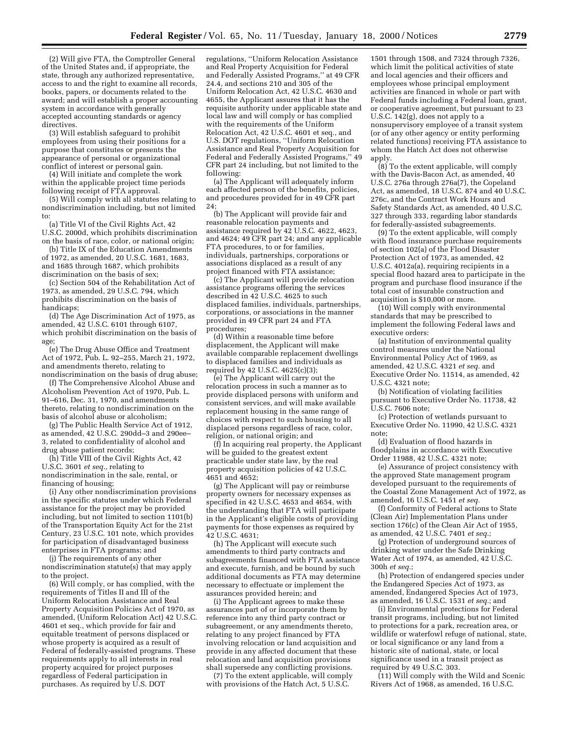(2) Will give FTA, the Comptroller General of the United States and, if appropriate, the state, through any authorized representative, access to and the right to examine all records, books, papers, or documents related to the award; and will establish a proper accounting system in accordance with generally accepted accounting standards or agency directives.

(3) Will establish safeguard to prohibit employees from using their positions for a purpose that constitutes or presents the appearance of personal or organizational conflict of interest or personal gain.

(4) Will initiate and complete the work within the applicable project time periods following receipt of FTA approval.

(5) Will comply with all statutes relating to nondiscrimination including, but not limited to:

(a) Title VI of the Civil Rights Act, 42 U.S.C. 2000d, which prohibits discrimination on the basis of race, color, or national origin;

(b) Title IX of the Education Amendments of 1972, as amended, 20 U.S.C. 1681, 1683, and 1685 through 1687, which prohibits discrimination on the basis of sex;

(c) Section 504 of the Rehabilitation Act of 1973, as amended, 29 U.S.C. 794, which prohibits discrimination on the basis of handicaps:

(d) The Age Discrimination Act of 1975, as amended, 42 U.S.C. 6101 through 6107, which prohibit discrimination on the basis of age;

(e) The Drug Abuse Office and Treatment Act of 1972, Pub. L. 92–255, March 21, 1972, and amendments thereto, relating to nondiscrimination on the basis of drug abuse;

(f) The Comprehensive Alcohol Abuse and Alcoholism Prevention Act of 1970, Pub. L. 91–616, Dec. 31, 1970, and amendments thereto, relating to nondiscrimination on the basis of alcohol abuse or alcoholism;

(g) The Public Health Service Act of 1912, as amended, 42 U.S.C. 290dd–3 and 290ee– 3, related to confidentiality of alcohol and drug abuse patient records;

(h) Title VIII of the Civil Rights Act, 42 U.S.C. 3601 *et seq.,* relating to nondiscrimination in the sale, rental, or financing of housing;

(i) Any other nondiscrimination provisions in the specific statutes under which Federal assistance for the project may be provided including, but not limited to section 1101(b) of the Transportation Equity Act for the 21st Century, 23 U.S.C. 101 note, which provides for participation of disadvantaged business enterprises in FTA programs; and

(j) The requirements of any other nondiscrimination statute(s) that may apply to the project.

(6) Will comply, or has complied, with the requirements of Titles II and III of the Uniform Relocation Assistance and Real Property Acquisition Policies Act of 1970, as amended, (Uniform Relocation Act) 42 U.S.C. 4601 et seq., which provide for fair and equitable treatment of persons displaced or whose property is acquired as a result of Federal of federally-assisted programs. These requirements apply to all interests in real property acquired for project purposes regardless of Federal participation in purchases. As required by U.S. DOT

regulations, ''Uniform Relocation Assistance and Real Property Acquisition for Federal and Federally Assisted Programs,'' at 49 CFR 24.4, and sections 210 and 305 of the Uniform Relocation Act, 42 U.S.C. 4630 and 4655, the Applicant assures that it has the requisite authority under applicable state and local law and will comply or has complied with the requirements of the Uniform Relocation Act, 42 U.S.C. 4601 et seq., and U.S. DOT regulations, ''Uniform Relocation Assistance and Real Property Acquisition for Federal and Federally Assisted Programs,'' 49 CFR part 24 including, but not limited to the following:

(a) The Applicant will adequately inform each affected person of the benefits, policies, and procedures provided for in 49 CFR part 24;

(b) The Applicant will provide fair and reasonable relocation payments and assistance required by 42 U.S.C. 4622, 4623, and 4624; 49 CFR part 24; and any applicable FTA procedures, to or for families, individuals, partnerships, corporations or associations displaced as a result of any project financed with FTA assistance;

(c) The Applicant will provide relocation assistance programs offering the services described in 42 U.S.C. 4625 to such displaced families, individuals, partnerships, corporations, or associations in the manner provided in 49 CFR part 24 and FTA procedures;

(d) Within a reasonable time before displacement, the Applicant will make available comparable replacement dwellings to displaced families and individuals as required by 42 U.S.C. 4625(c)(3);

(e) The Applicant will carry out the relocation process in such a manner as to provide displaced persons with uniform and consistent services, and will make available replacement housing in the same range of choices with respect to such housing to all displaced persons regardless of race, color, religion, or national origin; and

(f) In acquiring real property, the Applicant will be guided to the greatest extent practicable under state law, by the real property acquisition policies of 42 U.S.C. 4651 and 4652;

(g) The Applicant will pay or reimburse property owners for necessary expenses as specified in 42 U.S.C. 4653 and 4654, with the understanding that FTA will participate in the Applicant's eligible costs of providing payments for those expenses as required by 42 U.S.C. 4631;

(h) The Applicant will execute such amendments to third party contracts and subagreements financed with FTA assistance and execute, furnish, and be bound by such additional documents as FTA may determine necessary to effectuate or implement the assurances provided herein; and

(i) The Applicant agrees to make these assurances part of or incorporate them by reference into any third party contract or subagreement, or any amendments thereto, relating to any project financed by FTA involving relocation or land acquisition and provide in any affected document that these relocation and land acquisition provisions shall supersede any conflicting provisions.

(7) To the extent applicable, will comply with provisions of the Hatch Act, 5 U.S.C.

1501 through 1508, and 7324 through 7326, which limit the political activities of state and local agencies and their officers and employees whose principal employment activities are financed in whole or part with Federal funds including a Federal loan, grant, or cooperative agreement, but pursuant to 23 U.S.C. 142(g), does not apply to a nonsupervisory employee of a transit system (or of any other agency or entity performing related functions) receiving FTA assistance to whom the Hatch Act does not otherwise apply.

(8) To the extent applicable, will comply with the Davis-Bacon Act, as amended, 40 U.S.C. 276a through 276a(7), the Copeland Act, as amended, 18 U.S.C. 874 and 40 U.S.C. 276c, and the Contract Work Hours and Safety Standards Act, as amended, 40 U.S.C. 327 through 333, regarding labor standards for federally-assisted subagreements.

(9) To the extent applicable, will comply with flood insurance purchase requirements of section 102(a) of the Flood Disaster Protection Act of 1973, as amended, 42 U.S.C. 4012a(a), requiring recipients in a special flood hazard area to participate in the program and purchase flood insurance if the total cost of insurable construction and acquisition is \$10,000 or more.

(10) Will comply with environmental standards that may be prescribed to implement the following Federal laws and executive orders:

(a) Institution of environmental quality control measures under the National Environmental Policy Act of 1969, as amended, 42 U.S.C. 4321 *et seq.* and Executive Order No. 11514, as amended, 42 U.S.C. 4321 note;

(b) Notification of violating facilities pursuant to Executive Order No. 11738, 42 U.S.C. 7606 note;

(c) Protection of wetlands pursuant to Executive Order No. 11990, 42 U.S.C. 4321 note;

(d) Evaluation of flood hazards in floodplains in accordance with Executive Order 11988, 42 U.S.C. 4321 note;

(e) Assurance of project consistency with the approved State management program developed pursuant to the requirements of the Coastal Zone Management Act of 1972, as amended, 16 U.S.C. 1451 *et seq.*

(f) Conformity of Federal actions to State (Clean Air) Implementation Plans under section 176(c) of the Clean Air Act of 1955, as amended, 42 U.S.C. 7401 *et seq.*;

(g) Protection of underground sources of drinking water under the Safe Drinking Water Act of 1974, as amended, 42 U.S.C. 300h *et seq.*;

(h) Protection of endangered species under the Endangered Species Act of 1973, as amended, Endangered Species Act of 1973, as amended, 16 U.S.C. 1531 *et seq.*; and

(i) Environmental protections for Federal transit programs, including, but not limited to protections for a park, recreation area, or wildlife or waterfowl refuge of national, state, or local significance or any land from a historic site of national, state, or local significance used in a transit project as required by 49 U.S.C. 303.

(11) Will comply with the Wild and Scenic Rivers Act of 1968, as amended, 16 U.S.C.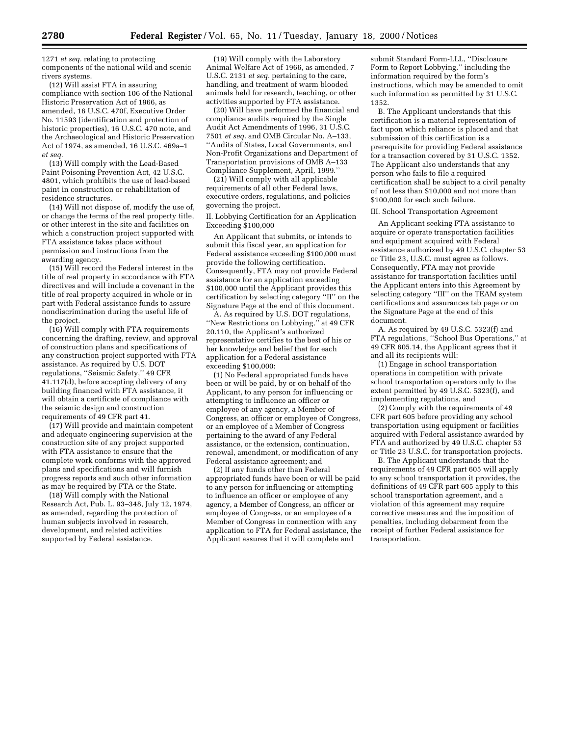1271 *et seq.* relating to protecting components of the national wild and scenic rivers systems.

(12) Will assist FTA in assuring compliance with section 106 of the National Historic Preservation Act of 1966, as amended, 16 U.S.C. 470f, Executive Order No. 11593 (identification and protection of historic properties), 16 U.S.C. 470 note, and the Archaeological and Historic Preservation Act of 1974, as amended, 16 U.S.C. 469a–1 *et seq.*

(13) Will comply with the Lead-Based Paint Poisoning Prevention Act, 42 U.S.C. 4801, which prohibits the use of lead-based paint in construction or rehabilitation of residence structures.

(14) Will not dispose of, modify the use of, or change the terms of the real property title, or other interest in the site and facilities on which a construction project supported with FTA assistance takes place without permission and instructions from the awarding agency.

(15) Will record the Federal interest in the title of real property in accordance with FTA directives and will include a covenant in the title of real property acquired in whole or in part with Federal assistance funds to assure nondiscrimination during the useful life of the project.

(16) Will comply with FTA requirements concerning the drafting, review, and approval of construction plans and specifications of any construction project supported with FTA assistance. As required by U.S. DOT regulations, ''Seismic Safety,'' 49 CFR 41.117(d), before accepting delivery of any building financed with FTA assistance, it will obtain a certificate of compliance with the seismic design and construction requirements of 49 CFR part 41.

(17) Will provide and maintain competent and adequate engineering supervision at the construction site of any project supported with FTA assistance to ensure that the complete work conforms with the approved plans and specifications and will furnish progress reports and such other information as may be required by FTA or the State.

(18) Will comply with the National Research Act, Pub. L. 93–348, July 12, 1974, as amended, regarding the protection of human subjects involved in research, development, and related activities supported by Federal assistance.

(19) Will comply with the Laboratory Animal Welfare Act of 1966, as amended, 7 U.S.C. 2131 *et seq.* pertaining to the care, handling, and treatment of warm blooded animals held for research, teaching, or other activities supported by FTA assistance.

(20) Will have performed the financial and compliance audits required by the Single Audit Act Amendments of 1996, 31 U.S.C. 7501 *et seq.* and OMB Circular No. A–133, ''Audits of States, Local Governments, and Non-Profit Organizations and Department of Transportation provisions of OMB A–133 Compliance Supplement, April, 1999.''

(21) Will comply with all applicable requirements of all other Federal laws, executive orders, regulations, and policies governing the project.

II. Lobbying Certification for an Application Exceeding \$100,000

An Applicant that submits, or intends to submit this fiscal year, an application for Federal assistance exceeding \$100,000 must provide the following certification. Consequently, FTA may not provide Federal assistance for an application exceeding \$100,000 until the Applicant provides this certification by selecting category ''II'' on the Signature Page at the end of this document.

A. As required by U.S. DOT regulations, ''New Restrictions on Lobbying,'' at 49 CFR 20.110, the Applicant's authorized representative certifies to the best of his or her knowledge and belief that for each application for a Federal assistance exceeding \$100,000:

(1) No Federal appropriated funds have been or will be paid, by or on behalf of the Applicant, to any person for influencing or attempting to influence an officer or employee of any agency, a Member of Congress, an officer or employee of Congress, or an employee of a Member of Congress pertaining to the award of any Federal assistance, or the extension, continuation, renewal, amendment, or modification of any Federal assistance agreement; and

(2) If any funds other than Federal appropriated funds have been or will be paid to any person for influencing or attempting to influence an officer or employee of any agency, a Member of Congress, an officer or employee of Congress, or an employee of a Member of Congress in connection with any application to FTA for Federal assistance, the Applicant assures that it will complete and

submit Standard Form-LLL, ''Disclosure Form to Report Lobbying,'' including the information required by the form's instructions, which may be amended to omit such information as permitted by 31 U.S.C. 1352.

B. The Applicant understands that this certification is a material representation of fact upon which reliance is placed and that submission of this certification is a prerequisite for providing Federal assistance for a transaction covered by 31 U.S.C. 1352. The Applicant also understands that any person who fails to file a required certification shall be subject to a civil penalty of not less than \$10,000 and not more than \$100,000 for each such failure.

#### III. School Transportation Agreement

An Applicant seeking FTA assistance to acquire or operate transportation facilities and equipment acquired with Federal assistance authorized by 49 U.S.C. chapter 53 or Title 23, U.S.C. must agree as follows. Consequently, FTA may not provide assistance for transportation facilities until the Applicant enters into this Agreement by selecting category ''III'' on the TEAM system certifications and assurances tab page or on the Signature Page at the end of this document.

A. As required by 49 U.S.C. 5323(f) and FTA regulations, ''School Bus Operations,'' at 49 CFR 605.14, the Applicant agrees that it and all its recipients will:

(1) Engage in school transportation operations in competition with private school transportation operators only to the extent permitted by 49 U.S.C. 5323(f), and implementing regulations, and

(2) Comply with the requirements of 49 CFR part 605 before providing any school transportation using equipment or facilities acquired with Federal assistance awarded by FTA and authorized by 49 U.S.C. chapter 53 or Title 23 U.S.C. for transportation projects.

B. The Applicant understands that the requirements of 49 CFR part 605 will apply to any school transportation it provides, the definitions of 49 CFR part 605 apply to this school transportation agreement, and a violation of this agreement may require corrective measures and the imposition of penalties, including debarment from the receipt of further Federal assistance for transportation.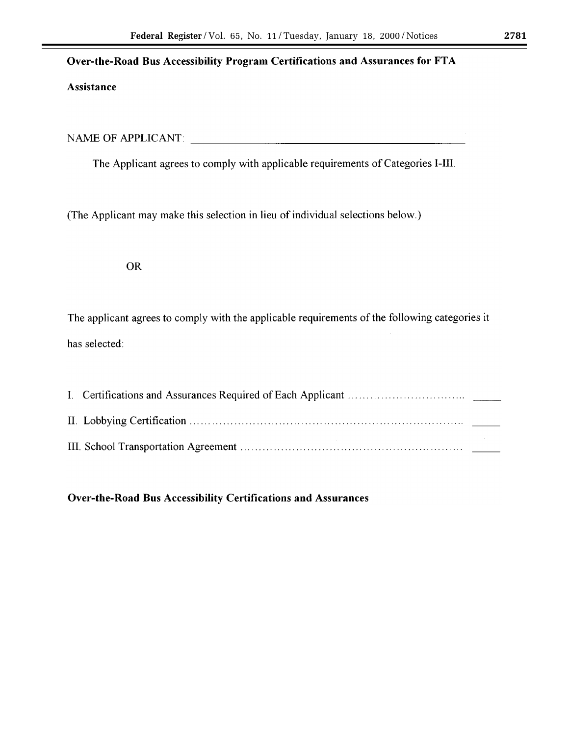## Over-the-Road Bus Accessibility Program Certifications and Assurances for FTA

## Assistance

NAME OF APPLICANT:

The Applicant agrees to comply with applicable requirements of Categories I-III.

(The Applicant may make this selection in lieu of individual selections below.)

## **OR**

The applicant agrees to comply with the applicable requirements of the following categories it has selected:

## **Over-the-Road Bus Accessibility Certifications and Assurances**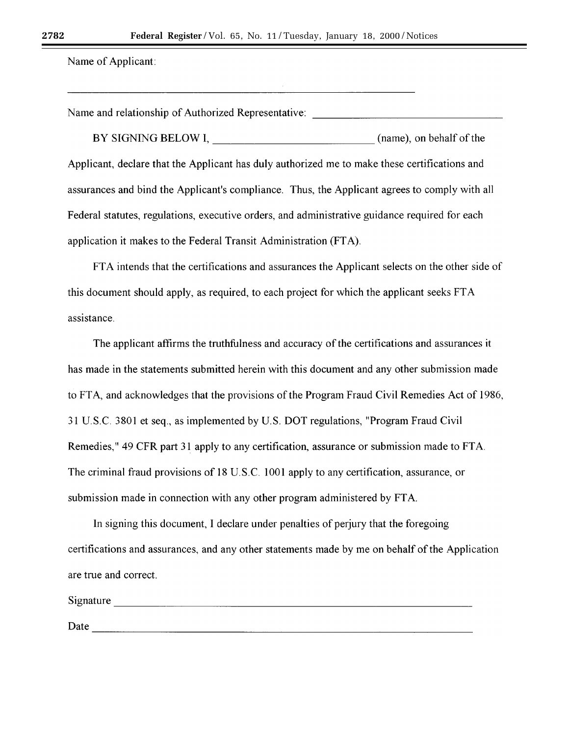Name of Applicant:

Name and relationship of Authorized Representative: \_\_\_\_\_\_\_\_\_\_\_\_\_\_\_\_\_\_\_\_\_\_\_\_\_\_\_\_

BY SIGNING BELOW I, (name), on behalf of the Applicant, declare that the Applicant has duly authorized me to make these certifications and assurances and bind the Applicant's compliance. Thus, the Applicant agrees to comply with all Federal statutes, regulations, executive orders, and administrative guidance required for each application it makes to the Federal Transit Administration (FTA).

FTA intends that the certifications and assurances the Applicant selects on the other side of this document should apply, as required, to each project for which the applicant seeks FTA assistance.

The applicant affirms the truthfulness and accuracy of the certifications and assurances it has made in the statements submitted herein with this document and any other submission made to FTA, and acknowledges that the provisions of the Program Fraud Civil Remedies Act of 1986, 31 U.S.C. 3801 et seq., as implemented by U.S. DOT regulations, "Program Fraud Civil" Remedies," 49 CFR part 31 apply to any certification, assurance or submission made to FTA. The criminal fraud provisions of 18 U.S.C. 1001 apply to any certification, assurance, or submission made in connection with any other program administered by FTA.

In signing this document, I declare under penalties of perjury that the foregoing certifications and assurances, and any other statements made by me on behalf of the Application are true and correct.

| Signature |  |  |  |
|-----------|--|--|--|
|           |  |  |  |
| Dota      |  |  |  |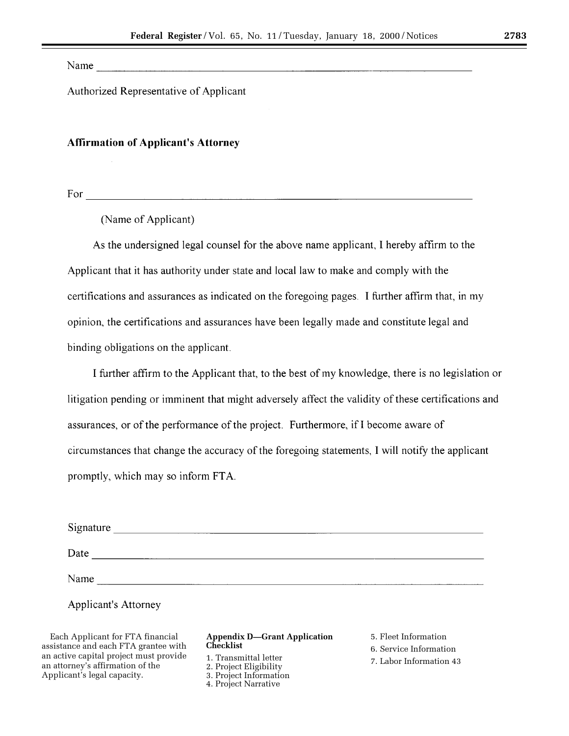Name

Authorized Representative of Applicant

## **Affirmation of Applicant's Attorney**

(Name of Applicant)

As the undersigned legal counsel for the above name applicant, I hereby affirm to the Applicant that it has authority under state and local law to make and comply with the certifications and assurances as indicated on the foregoing pages. I further affirm that, in my opinion, the certifications and assurances have been legally made and constitute legal and binding obligations on the applicant.

I further affirm to the Applicant that, to the best of my knowledge, there is no legislation or litigation pending or imminent that might adversely affect the validity of these certifications and assurances, or of the performance of the project. Furthermore, if I become aware of circumstances that change the accuracy of the foregoing statements, I will notify the applicant promptly, which may so inform FTA.

| Signature                   |
|-----------------------------|
| Date                        |
| Name                        |
| <b>Applicant's Attorney</b> |

Each Applicant for FTA financial assistance and each FTA grantee with an active capital project must provide an attorney's affirmation of the Applicant's legal capacity.

## **Appendix D—Grant Application Checklist**

1. Transmittal letter 2. Project Eligibility 3. Project Information

4. Project Narrative

5. Fleet Information

6. Service Information

7. Labor Information 43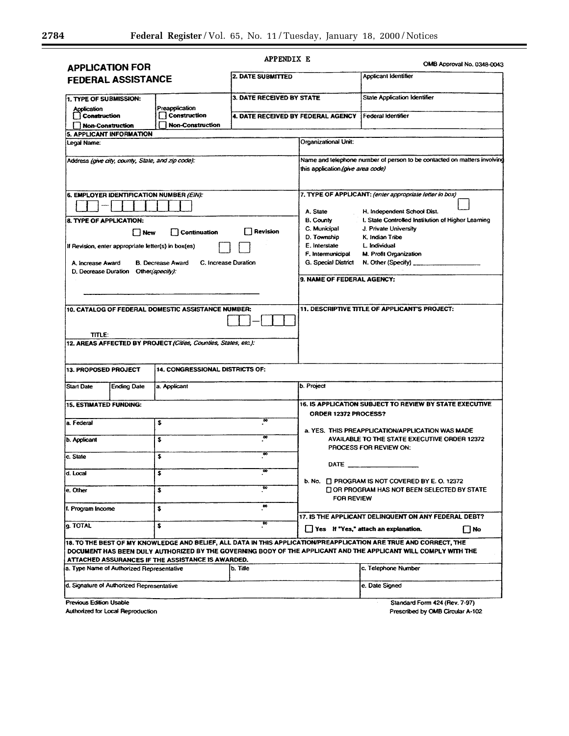| <b>APPLICATION FOR</b>                                          |                                                                 | APPENDIX E                        |                                                                                                                 |                                                                                                                                                                                                                                      | OMB Approval No. 0348-0043 |
|-----------------------------------------------------------------|-----------------------------------------------------------------|-----------------------------------|-----------------------------------------------------------------------------------------------------------------|--------------------------------------------------------------------------------------------------------------------------------------------------------------------------------------------------------------------------------------|----------------------------|
| FEDERAL ASSISTANCE                                              |                                                                 | 2. DATE SUBMITTED                 |                                                                                                                 | Applicant Identifier                                                                                                                                                                                                                 |                            |
| 1. TYPE OF SUBMISSION:<br>Application<br>Construction           | 3. DATE RECEIVED BY STATE<br>Preapplication<br>  Construction   |                                   | <b>State Application Identifier</b><br>Federal Identifier<br>4. DATE RECEIVED BY FEDERAL AGENCY                 |                                                                                                                                                                                                                                      |                            |
| <b>Non-Construction</b>                                         | <b>Non-Construction</b>                                         |                                   |                                                                                                                 |                                                                                                                                                                                                                                      |                            |
| 5. APPLICANT INFORMATION<br>Legal Name:                         |                                                                 |                                   | Organizational Unit:                                                                                            |                                                                                                                                                                                                                                      |                            |
|                                                                 |                                                                 |                                   |                                                                                                                 |                                                                                                                                                                                                                                      |                            |
| Address (give city, county, State, and zip code):               |                                                                 |                                   | Name and telephone number of person to be contacted on matters involving<br>this application (give area code)   |                                                                                                                                                                                                                                      |                            |
| 6. EMPLOYER IDENTIFICATION NUMBER (EIN):                        |                                                                 |                                   | 7. TYPE OF APPLICANT: (enter appropriate letter in box)<br>A. State<br>H. Independent School Dist.              |                                                                                                                                                                                                                                      |                            |
| 8. TYPE OF APPLICATION:                                         |                                                                 |                                   | <b>B. County</b>                                                                                                | I. State Controlled Institution of Higher Learning                                                                                                                                                                                   |                            |
| l New                                                           | <b>Continuation</b>                                             | <b>Revision</b>                   | C. Municipal                                                                                                    | J. Private University                                                                                                                                                                                                                |                            |
|                                                                 |                                                                 |                                   | D. Township<br>E. Interstate                                                                                    | K. Indian Tribe<br>L. Individual                                                                                                                                                                                                     |                            |
| If Revision, enter appropriate letter(s) in box(es)             |                                                                 |                                   | F. Intermunicipal                                                                                               | M. Profit Organization                                                                                                                                                                                                               |                            |
| A. Increase Award                                               | <b>B.</b> Decrease Award                                        | C. Increase Duration              | G. Special District                                                                                             | N. Other (Specify) _                                                                                                                                                                                                                 |                            |
| D. Decrease Duration Other(specify):                            |                                                                 |                                   |                                                                                                                 |                                                                                                                                                                                                                                      |                            |
|                                                                 |                                                                 |                                   | 9. NAME OF FEDERAL AGENCY:                                                                                      |                                                                                                                                                                                                                                      |                            |
|                                                                 |                                                                 |                                   |                                                                                                                 |                                                                                                                                                                                                                                      |                            |
|                                                                 | 10. CATALOG OF FEDERAL DOMESTIC ASSISTANCE NUMBER:              |                                   |                                                                                                                 | 11. DESCRIPTIVE TITLE OF APPLICANT'S PROJECT:                                                                                                                                                                                        |                            |
| TITLE:                                                          |                                                                 |                                   |                                                                                                                 |                                                                                                                                                                                                                                      |                            |
|                                                                 | 12. AREAS AFFECTED BY PROJECT (Cities, Counties, States, etc.): |                                   |                                                                                                                 |                                                                                                                                                                                                                                      |                            |
| <b>13. PROPOSED PROJECT</b>                                     | 14. CONGRESSIONAL DISTRICTS OF:                                 |                                   |                                                                                                                 |                                                                                                                                                                                                                                      |                            |
| <b>Start Date</b><br><b>Ending Date</b>                         | a. Applicant                                                    |                                   | b. Project                                                                                                      |                                                                                                                                                                                                                                      |                            |
| <b>15. ESTIMATED FUNDING:</b>                                   |                                                                 | œ                                 | 16. IS APPLICATION SUBJECT TO REVIEW BY STATE EXECUTIVE<br>ORDER 12372 PROCESS?                                 |                                                                                                                                                                                                                                      |                            |
| a. Federal<br><b>b.</b> Applicant                               | \$<br>\$                                                        | $\overline{\mathbf{c}}$           |                                                                                                                 | a. YES. THIS PREAPPLICATION/APPLICATION WAS MADE                                                                                                                                                                                     |                            |
|                                                                 |                                                                 |                                   | AVAILABLE TO THE STATE EXECUTIVE ORDER 12372<br>PROCESS FOR REVIEW ON:<br>DATE_                                 |                                                                                                                                                                                                                                      |                            |
| c. State                                                        | \$                                                              | $\overline{\bullet}$              |                                                                                                                 |                                                                                                                                                                                                                                      |                            |
| d. Local                                                        | \$                                                              | $\omega$<br>$\boldsymbol{\infty}$ | b. No. F PROGRAM IS NOT COVERED BY E.O. 12372<br>OR PROGRAM HAS NOT BEEN SELECTED BY STATE<br><b>FOR REVIEW</b> |                                                                                                                                                                                                                                      |                            |
| e. Other                                                        | \$                                                              | œ                                 |                                                                                                                 |                                                                                                                                                                                                                                      |                            |
| f. Program Income                                               | \$                                                              |                                   |                                                                                                                 | 17. IS THE APPLICANT DELINQUENT ON ANY FEDERAL DEBT?                                                                                                                                                                                 |                            |
| g. TOTAL<br>s                                                   |                                                                 | œ                                 | Yes If "Yes," attach an explanation.<br>$\Box$ No                                                               |                                                                                                                                                                                                                                      |                            |
|                                                                 | ATTACHED ASSURANCES IF THE ASSISTANCE IS AWARDED.               |                                   |                                                                                                                 | 18. TO THE BEST OF MY KNOWLEDGE AND BELIEF, ALL DATA IN THIS APPLICATION/PREAPPLICATION ARE TRUE AND CORRECT, THE<br>DOCUMENT HAS BEEN DULY AUTHORIZED BY THE GOVERNING BODY OF THE APPLICANT AND THE APPLICANT WILL COMPLY WITH THE |                            |
| a. Type Name of Authorized Representative                       |                                                                 | b. Tille                          | c. Telephone Number                                                                                             |                                                                                                                                                                                                                                      |                            |
| d. Signature of Authorized Representative                       |                                                                 |                                   | e. Date Signed                                                                                                  |                                                                                                                                                                                                                                      |                            |
| <b>Previous Edition Usable</b><br>Standard Form 424 (Rev. 7-97) |                                                                 |                                   |                                                                                                                 |                                                                                                                                                                                                                                      |                            |

Prescribed by OMB Circular A-102